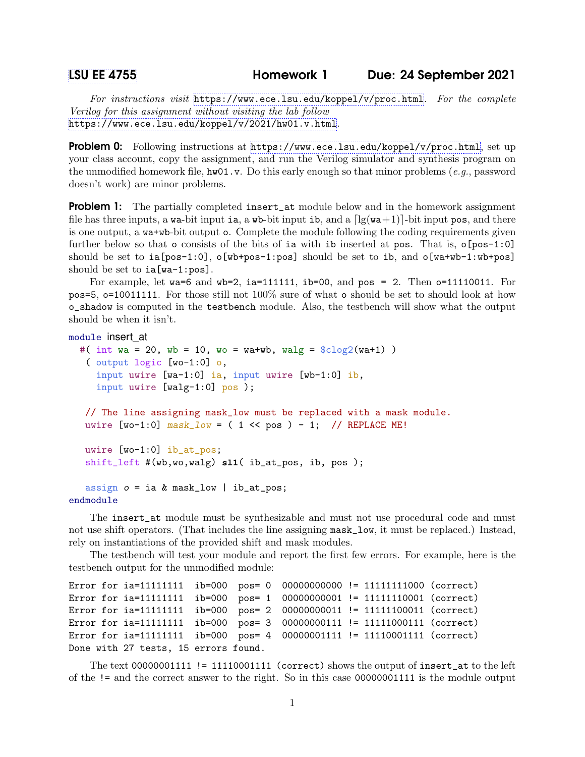For instructions visit  $https://www.ece.lsu.edu/koppel/v/proc.html.$  $https://www.ece.lsu.edu/koppel/v/proc.html.$  For the complete Verilog for this assignment without visiting the lab follow <https://www.ece.lsu.edu/koppel/v/2021/hw01.v.html>.

Problem 0: Following instructions at <https://www.ece.lsu.edu/koppel/v/proc.html>, set up your class account, copy the assignment, and run the Verilog simulator and synthesis program on the unmodified homework file,  $hwd1.v$ . Do this early enough so that minor problems (e.g., password doesn't work) are minor problems.

**Problem 1:** The partially completed insert\_at module below and in the homework assignment file has three inputs, a wa-bit input ia, a wb-bit input ib, and a  $\lceil \lg(wa+1) \rceil$ -bit input pos, and there is one output, a wa+wb-bit output o. Complete the module following the coding requirements given further below so that  $\circ$  consists of the bits of ia with ib inserted at pos. That is,  $\circ$ [pos-1:0] should be set to  $ia[pos-1:0]$ ,  $o[wb+pos-1:pos]$  should be set to  $ib$ , and  $o[wa+wb-1:wb+pos]$ should be set to ia[wa-1:pos].

For example, let wa=6 and wb=2, ia=111111, ib=00, and pos = 2. Then  $o=11110011$ . For pos=5, o=10011111. For those still not 100% sure of what o should be set to should look at how o\_shadow is computed in the testbench module. Also, the testbench will show what the output should be when it isn't.

```
module insert_at
  #( int wa = 20, wb = 10, wo = wa+wb, walg = \frac{\cosh(2\pi x)}{\cosh(2\pi x)})
   ( output logic [wo-1:0] o,
     input uwire [wa-1:0] ia, input uwire [wb-1:0] ib,
     input uwire [walg-1:0] pos );
   // The line assigning mask_low must be replaced with a mask module.
   uwire [wo-1:0] mask\_low = (1 \le pos) - 1; // REPLACE ME!
   uwire [wo-1:0] ib_at_pos;
   shift_left #(wb,wo,walg) sl1( ib_at_pos, ib, pos );
   assign o = ia \& mask_low \mid ib_at_pos;endmodule
```
The insert\_at module must be synthesizable and must not use procedural code and must not use shift operators. (That includes the line assigning mask\_low, it must be replaced.) Instead, rely on instantiations of the provided shift and mask modules.

The testbench will test your module and report the first few errors. For example, here is the testbench output for the unmodified module:

```
Error for ia=11111111 ib=000 pos= 0 00000000000 != 11111111000 (correct)
Error for ia=11111111 ib=000 pos= 1 00000000001 != 11111110001 (correct)
Error for ia=11111111 ib=000 pos= 2 00000000011 != 11111100011 (correct)
Error for ia=11111111 ib=000 pos= 3 00000000111 != 11111000111 (correct)
Error for ia=11111111 ib=000 pos= 4 00000001111 != 11110001111 (correct)
Done with 27 tests, 15 errors found.
```
The text  $00000001111$  != 11110001111 (correct) shows the output of insert\_at to the left of the != and the correct answer to the right. So in this case 00000001111 is the module output